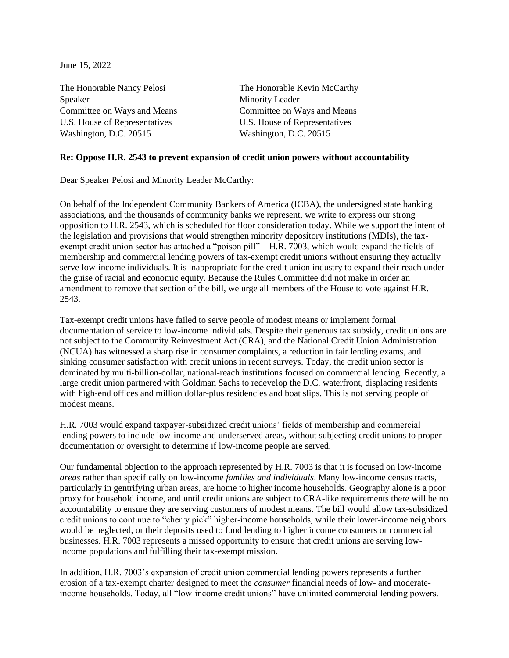June 15, 2022

Speaker Minority Leader U.S. House of Representatives U.S. House of Representatives Washington, D.C. 20515 Washington, D.C. 20515

The Honorable Nancy Pelosi The Honorable Kevin McCarthy Committee on Ways and Means Committee on Ways and Means

## **Re: Oppose H.R. 2543 to prevent expansion of credit union powers without accountability**

Dear Speaker Pelosi and Minority Leader McCarthy:

On behalf of the Independent Community Bankers of America (ICBA), the undersigned state banking associations, and the thousands of community banks we represent, we write to express our strong opposition to H.R. 2543, which is scheduled for floor consideration today. While we support the intent of the legislation and provisions that would strengthen minority depository institutions (MDIs), the taxexempt credit union sector has attached a "poison pill" – H.R. 7003, which would expand the fields of membership and commercial lending powers of tax-exempt credit unions without ensuring they actually serve low-income individuals. It is inappropriate for the credit union industry to expand their reach under the guise of racial and economic equity. Because the Rules Committee did not make in order an amendment to remove that section of the bill, we urge all members of the House to vote against H.R. 2543.

Tax-exempt credit unions have failed to serve people of modest means or implement formal documentation of service to low-income individuals. Despite their generous tax subsidy, credit unions are not subject to the Community Reinvestment Act (CRA), and the National Credit Union Administration (NCUA) has witnessed a sharp rise in consumer complaints, a reduction in fair lending exams, and sinking consumer satisfaction with credit unions in recent surveys. Today, the credit union sector is dominated by multi-billion-dollar, national-reach institutions focused on commercial lending. Recently, a large credit union partnered with Goldman Sachs to redevelop the D.C. waterfront, displacing residents with high-end offices and million dollar-plus residencies and boat slips. This is not serving people of modest means.

H.R. 7003 would expand taxpayer-subsidized credit unions' fields of membership and commercial lending powers to include low-income and underserved areas, without subjecting credit unions to proper documentation or oversight to determine if low-income people are served.

Our fundamental objection to the approach represented by H.R. 7003 is that it is focused on low-income *areas* rather than specifically on low-income *families and individuals*. Many low-income census tracts, particularly in gentrifying urban areas, are home to higher income households. Geography alone is a poor proxy for household income, and until credit unions are subject to CRA-like requirements there will be no accountability to ensure they are serving customers of modest means. The bill would allow tax-subsidized credit unions to continue to "cherry pick" higher-income households, while their lower-income neighbors would be neglected, or their deposits used to fund lending to higher income consumers or commercial businesses. H.R. 7003 represents a missed opportunity to ensure that credit unions are serving lowincome populations and fulfilling their tax-exempt mission.

In addition, H.R. 7003's expansion of credit union commercial lending powers represents a further erosion of a tax-exempt charter designed to meet the *consumer* financial needs of low- and moderateincome households. Today, all "low-income credit unions" have unlimited commercial lending powers.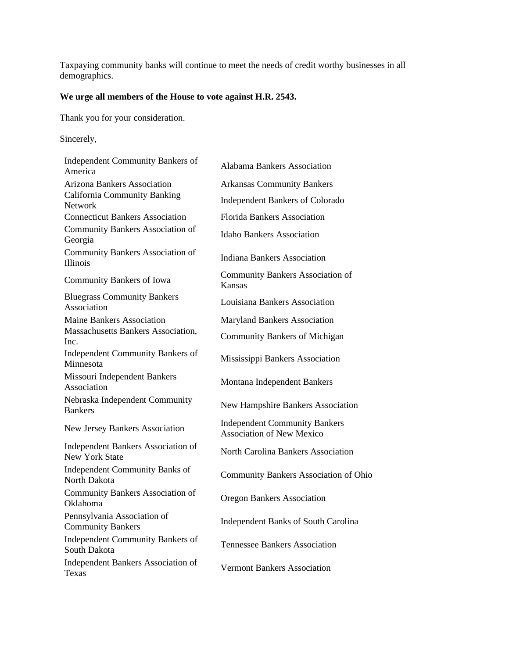Taxpaying community banks will continue to meet the needs of credit worthy businesses in all demographics.

## **We urge all members of the House to vote against H.R. 2543.**

Thank you for your consideration.

Sincerely,

| <b>Independent Community Bankers of</b><br>America                 | <b>Alabama Bankers Association</b>                                       |
|--------------------------------------------------------------------|--------------------------------------------------------------------------|
| <b>Arizona Bankers Association</b>                                 | <b>Arkansas Community Bankers</b>                                        |
| <b>California Community Banking</b><br>Network                     | <b>Independent Bankers of Colorado</b>                                   |
| <b>Connecticut Bankers Association</b>                             | <b>Florida Bankers Association</b>                                       |
| <b>Community Bankers Association of</b><br>Georgia                 | <b>Idaho Bankers Association</b>                                         |
| <b>Community Bankers Association of</b><br><b>Illinois</b>         | Indiana Bankers Association                                              |
| Community Bankers of Iowa                                          | <b>Community Bankers Association of</b><br>Kansas                        |
| <b>Bluegrass Community Bankers</b><br>Association                  | Louisiana Bankers Association                                            |
| <b>Maine Bankers Association</b>                                   | <b>Maryland Bankers Association</b>                                      |
| <b>Massachusetts Bankers Association,</b><br>Inc.                  | <b>Community Bankers of Michigan</b>                                     |
| <b>Independent Community Bankers of</b><br>Minnesota               | Mississippi Bankers Association                                          |
| Missouri Independent Bankers<br>Association                        | Montana Independent Bankers                                              |
| Nebraska Independent Community<br><b>Bankers</b>                   | <b>New Hampshire Bankers Association</b>                                 |
| New Jersey Bankers Association                                     | <b>Independent Community Bankers</b><br><b>Association of New Mexico</b> |
| <b>Independent Bankers Association of</b><br><b>New York State</b> | North Carolina Bankers Association                                       |
| Independent Community Banks of<br>North Dakota                     | Community Bankers Association of Ohio                                    |
| <b>Community Bankers Association of</b><br><b>Oklahoma</b>         | <b>Oregon Bankers Association</b>                                        |
| Pennsylvania Association of<br><b>Community Bankers</b>            | <b>Independent Banks of South Carolina</b>                               |
| Independent Community Bankers of<br>South Dakota                   | <b>Tennessee Bankers Association</b>                                     |
| Independent Bankers Association of<br>Texas                        | <b>Vermont Bankers Association</b>                                       |